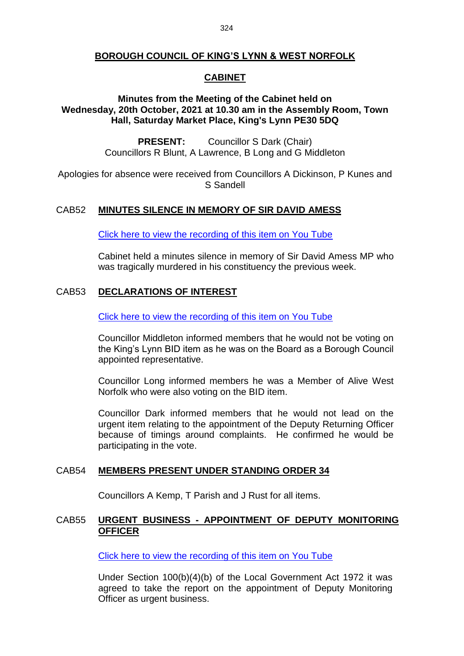## **BOROUGH COUNCIL OF KING'S LYNN & WEST NORFOLK**

#### **CABINET**

## **Minutes from the Meeting of the Cabinet held on Wednesday, 20th October, 2021 at 10.30 am in the Assembly Room, Town Hall, Saturday Market Place, King's Lynn PE30 5DQ**

**PRESENT:** Councillor S Dark (Chair) Councillors R Blunt, A Lawrence, B Long and G Middleton

Apologies for absence were received from Councillors A Dickinson, P Kunes and S Sandell

#### CAB52 **MINUTES SILENCE IN MEMORY OF SIR DAVID AMESS**

[Click here to view the recording of this item on You Tube](https://youtu.be/-MCd-kLzp_I?t=48)

Cabinet held a minutes silence in memory of Sir David Amess MP who was tragically murdered in his constituency the previous week.

## CAB53 **DECLARATIONS OF INTEREST**

[Click here to view the recording of this item on You Tube](https://youtu.be/-MCd-kLzp_I?t=197)

Councillor Middleton informed members that he would not be voting on the King's Lynn BID item as he was on the Board as a Borough Council appointed representative.

Councillor Long informed members he was a Member of Alive West Norfolk who were also voting on the BID item.

Councillor Dark informed members that he would not lead on the urgent item relating to the appointment of the Deputy Returning Officer because of timings around complaints. He confirmed he would be participating in the vote.

#### CAB54 **MEMBERS PRESENT UNDER STANDING ORDER 34**

Councillors A Kemp, T Parish and J Rust for all items.

## CAB55 **URGENT BUSINESS - APPOINTMENT OF DEPUTY MONITORING OFFICER**

[Click here to view the recording of this item on You Tube](https://youtu.be/-MCd-kLzp_I?t=371)

Under Section 100(b)(4)(b) of the Local Government Act 1972 it was agreed to take the report on the appointment of Deputy Monitoring Officer as urgent business.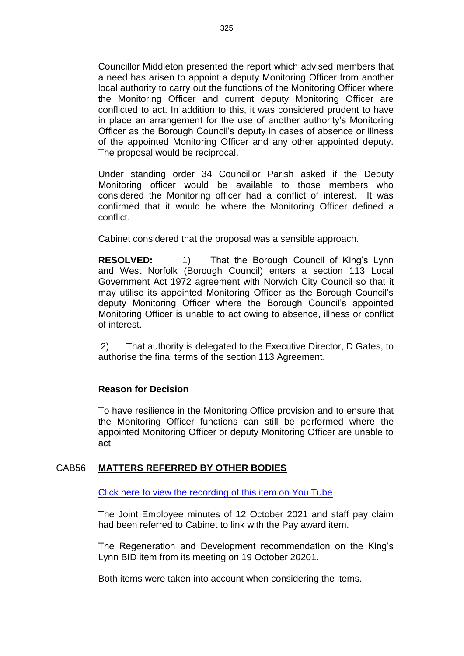Councillor Middleton presented the report which advised members that a need has arisen to appoint a deputy Monitoring Officer from another local authority to carry out the functions of the Monitoring Officer where the Monitoring Officer and current deputy Monitoring Officer are conflicted to act. In addition to this, it was considered prudent to have in place an arrangement for the use of another authority's Monitoring Officer as the Borough Council's deputy in cases of absence or illness of the appointed Monitoring Officer and any other appointed deputy. The proposal would be reciprocal.

Under standing order 34 Councillor Parish asked if the Deputy Monitoring officer would be available to those members who considered the Monitoring officer had a conflict of interest. It was confirmed that it would be where the Monitoring Officer defined a conflict.

Cabinet considered that the proposal was a sensible approach.

**RESOLVED:** 1) That the Borough Council of King's Lynn and West Norfolk (Borough Council) enters a section 113 Local Government Act 1972 agreement with Norwich City Council so that it may utilise its appointed Monitoring Officer as the Borough Council's deputy Monitoring Officer where the Borough Council's appointed Monitoring Officer is unable to act owing to absence, illness or conflict of interest.

2) That authority is delegated to the Executive Director, D Gates, to authorise the final terms of the section 113 Agreement.

## **Reason for Decision**

To have resilience in the Monitoring Office provision and to ensure that the Monitoring Officer functions can still be performed where the appointed Monitoring Officer or deputy Monitoring Officer are unable to act.

## CAB56 **MATTERS REFERRED BY OTHER BODIES**

[Click here to view the recording of this item on You Tube](https://youtu.be/-MCd-kLzp_I?t=745)

The Joint Employee minutes of 12 October 2021 and staff pay claim had been referred to Cabinet to link with the Pay award item.

The Regeneration and Development recommendation on the King's Lynn BID item from its meeting on 19 October 20201.

Both items were taken into account when considering the items.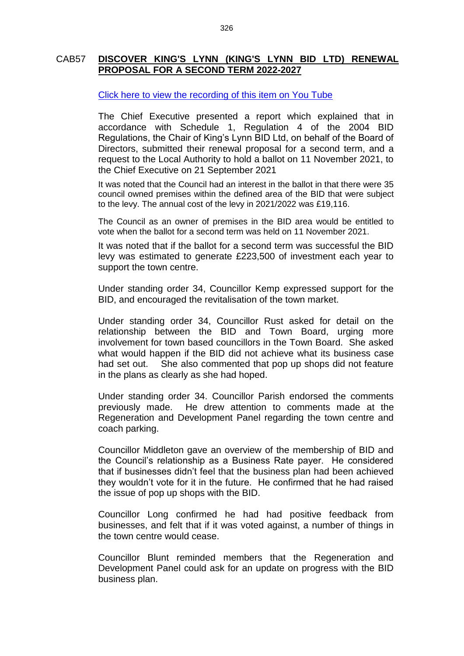#### CAB57 **DISCOVER KING'S LYNN (KING'S LYNN BID LTD) RENEWAL PROPOSAL FOR A SECOND TERM 2022-2027**

#### [Click here to view the recording of this item on You Tube](https://youtu.be/-MCd-kLzp_I?t=778)

The Chief Executive presented a report which explained that in accordance with Schedule 1, Regulation 4 of the 2004 BID Regulations, the Chair of King's Lynn BID Ltd, on behalf of the Board of Directors, submitted their renewal proposal for a second term, and a request to the Local Authority to hold a ballot on 11 November 2021, to the Chief Executive on 21 September 2021

It was noted that the Council had an interest in the ballot in that there were 35 council owned premises within the defined area of the BID that were subject to the levy. The annual cost of the levy in 2021/2022 was £19,116.

The Council as an owner of premises in the BID area would be entitled to vote when the ballot for a second term was held on 11 November 2021.

It was noted that if the ballot for a second term was successful the BID levy was estimated to generate £223,500 of investment each year to support the town centre.

Under standing order 34, Councillor Kemp expressed support for the BID, and encouraged the revitalisation of the town market.

Under standing order 34, Councillor Rust asked for detail on the relationship between the BID and Town Board, urging more involvement for town based councillors in the Town Board. She asked what would happen if the BID did not achieve what its business case had set out. She also commented that pop up shops did not feature in the plans as clearly as she had hoped.

Under standing order 34. Councillor Parish endorsed the comments previously made. He drew attention to comments made at the Regeneration and Development Panel regarding the town centre and coach parking.

Councillor Middleton gave an overview of the membership of BID and the Council's relationship as a Business Rate payer. He considered that if businesses didn't feel that the business plan had been achieved they wouldn't vote for it in the future. He confirmed that he had raised the issue of pop up shops with the BID.

Councillor Long confirmed he had had positive feedback from businesses, and felt that if it was voted against, a number of things in the town centre would cease.

Councillor Blunt reminded members that the Regeneration and Development Panel could ask for an update on progress with the BID business plan.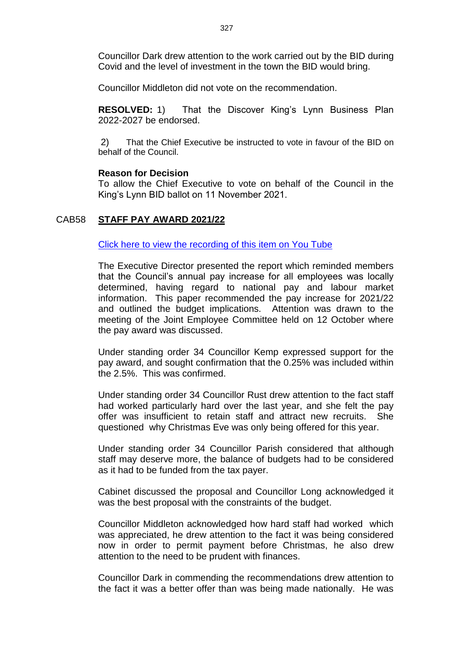Councillor Dark drew attention to the work carried out by the BID during Covid and the level of investment in the town the BID would bring.

Councillor Middleton did not vote on the recommendation.

**RESOLVED:** 1) That the Discover King's Lynn Business Plan 2022-2027 be endorsed.

2) That the Chief Executive be instructed to vote in favour of the BID on behalf of the Council.

#### **Reason for Decision**

To allow the Chief Executive to vote on behalf of the Council in the King's Lynn BID ballot on 11 November 2021.

#### CAB58 **STAFF PAY AWARD 2021/22**

[Click here to view the recording of this item on You Tube](https://youtu.be/-MCd-kLzp_I?t=1868)

The Executive Director presented the report which reminded members that the Council's annual pay increase for all employees was locally determined, having regard to national pay and labour market information. This paper recommended the pay increase for 2021/22 and outlined the budget implications. Attention was drawn to the meeting of the Joint Employee Committee held on 12 October where the pay award was discussed.

Under standing order 34 Councillor Kemp expressed support for the pay award, and sought confirmation that the 0.25% was included within the 2.5%. This was confirmed.

Under standing order 34 Councillor Rust drew attention to the fact staff had worked particularly hard over the last year, and she felt the pay offer was insufficient to retain staff and attract new recruits. She questioned why Christmas Eve was only being offered for this year.

Under standing order 34 Councillor Parish considered that although staff may deserve more, the balance of budgets had to be considered as it had to be funded from the tax payer.

Cabinet discussed the proposal and Councillor Long acknowledged it was the best proposal with the constraints of the budget.

Councillor Middleton acknowledged how hard staff had worked which was appreciated, he drew attention to the fact it was being considered now in order to permit payment before Christmas, he also drew attention to the need to be prudent with finances.

Councillor Dark in commending the recommendations drew attention to the fact it was a better offer than was being made nationally. He was